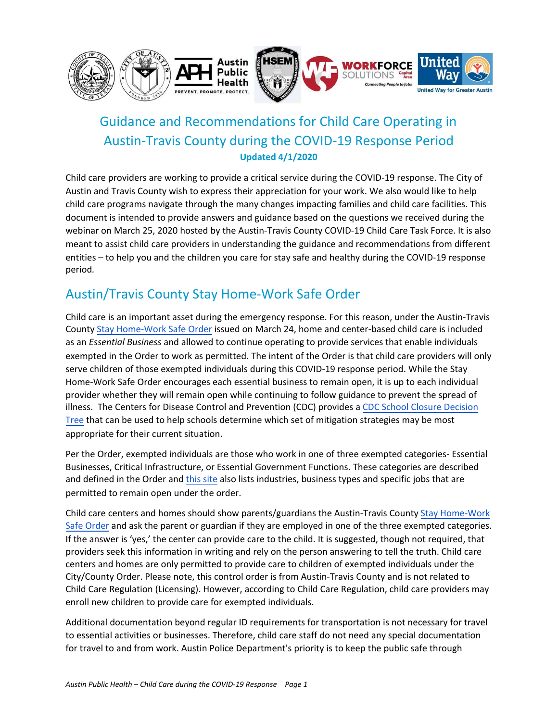

# Guidance and Recommendations for Child Care Operating in Austin-Travis County during the COVID-19 Response Period **Updated 4/1/2020**

Child care providers are working to provide a critical service during the COVID-19 response. The City of Austin and Travis County wish to express their appreciation for your work. We also would like to help child care programs navigate through the many changes impacting families and child care facilities. This document is intended to provide answers and guidance based on the questions we received during the webinar on March 25, 2020 hosted by the Austin-Travis County COVID-19 Child Care Task Force. It is also meant to assist child care providers in understanding the guidance and recommendations from different entities – to help you and the children you care for stay safe and healthy during the COVID-19 response period*.* 

# Austin/Travis County Stay Home-Work Safe Order

Child care is an important asset during the emergency response. For this reason, under the Austin-Travis County [Stay Home-Work Safe Order](http://www.austintexas.gov/sites/default/files/files/Order%2020200324-007%20-%20Stay%20Home%20-%20Work%20Safe.pdf) issued on March 24, home and center-based child care is included as an *Essential Business* and allowed to continue operating to provide services that enable individuals exempted in the Order to work as permitted. The intent of the Order is that child care providers will only serve children of those exempted individuals during this COVID-19 response period. While the Stay Home-Work Safe Order encourages each essential business to remain open, it is up to each individual provider whether they will remain open while continuing to follow guidance to prevent the spread of illness. The Centers for Disease Control and Prevention (CDC) provides a [CDC School Closure Decision](https://www.cdc.gov/coronavirus/2019-ncov/community/schools-childcare/guidance-for-schools.html) [Tree](https://www.cdc.gov/coronavirus/2019-ncov/community/schools-childcare/guidance-for-schools.html) that can be used to help schools determine which set of mitigation strategies may be most appropriate for their current situation.

Per the Order, exempted individuals are those who work in one of three exempted categories- Essential Businesses, Critical Infrastructure, or Essential Government Functions. These categories are described and defined in the Order and [this site](http://www.austintexas.gov/article/covid-19-information-businesses-and-industries) also lists industries, business types and specific jobs that are permitted to remain open under the order.

Child care centers and homes should show parents/guardians the Austin-Travis County [Stay Home-Work](http://www.austintexas.gov/sites/default/files/files/Order%2020200324-007%20-%20Stay%20Home%20-%20Work%20Safe.pdf) [Safe Order](http://www.austintexas.gov/sites/default/files/files/Order%2020200324-007%20-%20Stay%20Home%20-%20Work%20Safe.pdf) and ask the parent or guardian if they are employed in one of the three exempted categories. If the answer is 'yes,' the center can provide care to the child. It is suggested, though not required, that providers seek this information in writing and rely on the person answering to tell the truth. Child care centers and homes are only permitted to provide care to children of exempted individuals under the City/County Order. Please note, this control order is from Austin-Travis County and is not related to Child Care Regulation (Licensing). However, according to Child Care Regulation, child care providers may enroll new children to provide care for exempted individuals.

Additional documentation beyond regular ID requirements for transportation is not necessary for travel to essential activities or businesses. Therefore, child care staff do not need any special documentation for travel to and from work. Austin Police Department's priority is to keep the public safe through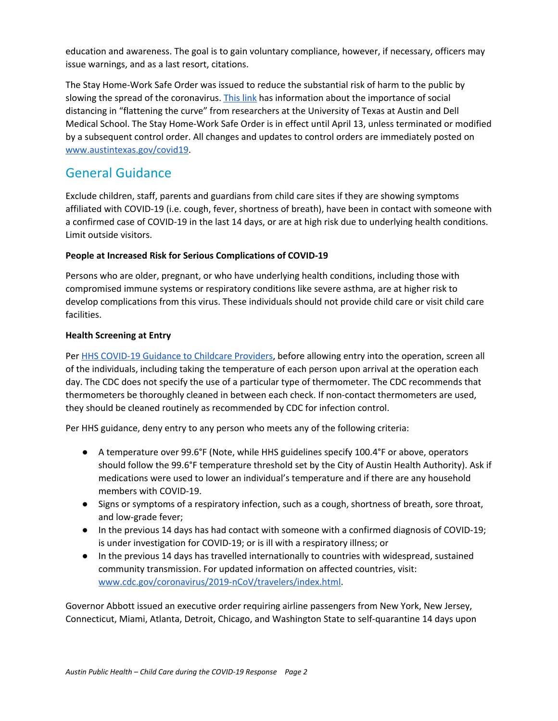education and awareness. The goal is to gain voluntary compliance, however, if necessary, officers may issue warnings, and as a last resort, citations.

The Stay Home-Work Safe Order was issued to reduce the substantial risk of harm to the public by slowing the spread of the coronavirus. [This](https://news.utexas.edu/2020/03/26/a-new-texas-covid-19-pandemic-toolkit-shows-the-importance-of-social-distancing/) link has information about the importance of social distancing in "flattening the curve" from researchers at the University of Texas at Austin and Dell Medical School. The Stay Home-Work Safe Order is in effect until April 13, unless terminated or modified by a subsequent control order. All changes and updates to control orders are immediately posted on [www.austintexas.gov/covid19.](http://www.austintexas.gov/covid19)

# General Guidance

Exclude children, staff, parents and guardians from child care sites if they are showing symptoms affiliated with COVID-19 (i.e. cough, fever, shortness of breath), have been in contact with someone with a confirmed case of COVID-19 in the last 14 days, or are at high risk due to underlying health conditions. Limit outside visitors.

# **People at Increased Risk for Serious Complications of COVID-19**

Persons who are older, pregnant, or who have underlying health conditions, including those with compromised immune systems or respiratory conditions like severe asthma, are at higher risk to develop complications from this virus. These individuals should not provide child care or visit child care facilities.

# **Health Screening at Entry**

Per HHS [COVID-19](https://hhs.texas.gov/about-hhs/communications-events/news/2020/03/covid-19-guidance-child-care-providers) Guidance to Childcare Providers, before allowing entry into the operation, screen all of the individuals, including taking the temperature of each person upon arrival at the operation each day. The CDC does not specify the use of a particular type of thermometer. The CDC recommends that thermometers be thoroughly cleaned in between each check. If non-contact thermometers are used, they should be cleaned routinely as recommended by CDC for infection control.

Per HHS guidance, deny entry to any person who meets any of the following criteria:

- A temperature over 99.6°F (Note, while HHS guidelines specify 100.4°F or above, operators should follow the 99.6°F temperature threshold set by the City of Austin Health Authority). Ask if medications were used to lower an individual's temperature and if there are any household members with COVID-19.
- Signs or symptoms of a respiratory infection, such as a cough, shortness of breath, sore throat, and low-grade fever;
- In the previous 14 days has had contact with someone with a confirmed diagnosis of COVID-19; is under investigation for COVID-19; or is ill with a respiratory illness; or
- In the previous 14 days has travelled internationally to countries with widespread, sustained community transmission. For updated information on affected countries, visit: [www.cdc.gov/coronavirus/2019-nCoV/travelers/index.html](https://www.cdc.gov/coronavirus/2019-nCoV/travelers/index.html).

Governor Abbott issued an executive order requiring airline passengers from New York, New Jersey, Connecticut, Miami, Atlanta, Detroit, Chicago, and Washington State to self-quarantine 14 days upon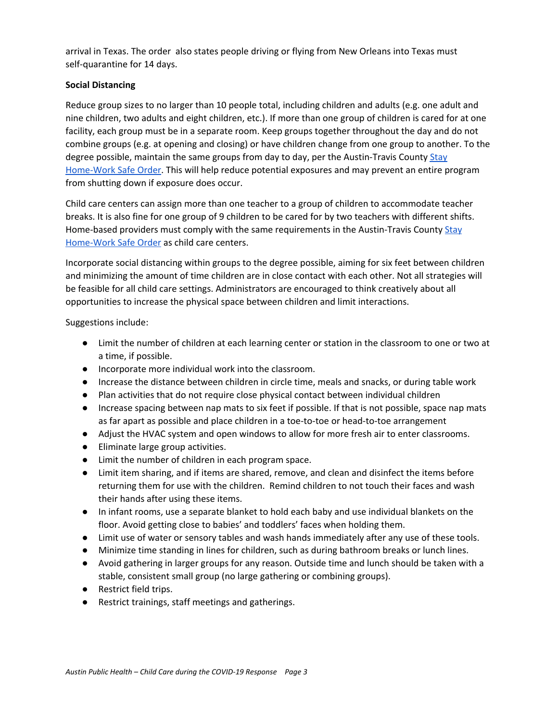arrival in Texas. The order also states people driving or flying from New Orleans into Texas must self-quarantine for 14 days.

## **Social Distancing**

Reduce group sizes to no larger than 10 people total, including children and adults (e.g. one adult and nine children, two adults and eight children, etc.). If more than one group of children is cared for at one facility, each group must be in a separate room. Keep groups together throughout the day and do not combine groups (e.g. at opening and closing) or have children change from one group to another. To the degree possible, maintain the same groups from day to day, per the Austin-Travis County [Stay](http://www.austintexas.gov/sites/default/files/files/Order%2020200324-007%20-%20Stay%20Home%20-%20Work%20Safe.pdf) [Home-Work](http://www.austintexas.gov/sites/default/files/files/Order%2020200324-007%20-%20Stay%20Home%20-%20Work%20Safe.pdf) Safe Order. This will help reduce potential exposures and may prevent an entire program from shutting down if exposure does occur.

Child care centers can assign more than one teacher to a group of children to accommodate teacher breaks. It is also fine for one group of 9 children to be cared for by two teachers with different shifts. Home-based providers must comply with the same requirements in the Austin-Travis County [Stay](http://www.austintexas.gov/sites/default/files/files/Order%2020200324-007%20-%20Stay%20Home%20-%20Work%20Safe.pdf) [Home-Work](http://www.austintexas.gov/sites/default/files/files/Order%2020200324-007%20-%20Stay%20Home%20-%20Work%20Safe.pdf) Safe Order as child care centers.

Incorporate social distancing within groups to the degree possible, aiming for six feet between children and minimizing the amount of time children are in close contact with each other. Not all strategies will be feasible for all child care settings. Administrators are encouraged to think creatively about all opportunities to increase the physical space between children and limit interactions.

Suggestions include:

- Limit the number of children at each learning center or station in the classroom to one or two at a time, if possible.
- Incorporate more individual work into the classroom.
- Increase the distance between children in circle time, meals and snacks, or during table work
- Plan activities that do not require close physical contact between individual children
- Increase spacing between nap mats to six feet if possible. If that is not possible, space nap mats as far apart as possible and place children in a toe-to-toe or head-to-toe arrangement
- Adjust the HVAC system and open windows to allow for more fresh air to enter classrooms.
- Eliminate large group activities.
- Limit the number of children in each program space.
- Limit item sharing, and if items are shared, remove, and clean and disinfect the items before returning them for use with the children. Remind children to not touch their faces and wash their hands after using these items.
- In infant rooms, use a separate blanket to hold each baby and use individual blankets on the floor. Avoid getting close to babies' and toddlers' faces when holding them.
- Limit use of water or sensory tables and wash hands immediately after any use of these tools.
- Minimize time standing in lines for children, such as during bathroom breaks or lunch lines.
- Avoid gathering in larger groups for any reason. Outside time and lunch should be taken with a stable, consistent small group (no large gathering or combining groups).
- Restrict field trips.
- Restrict trainings, staff meetings and gatherings.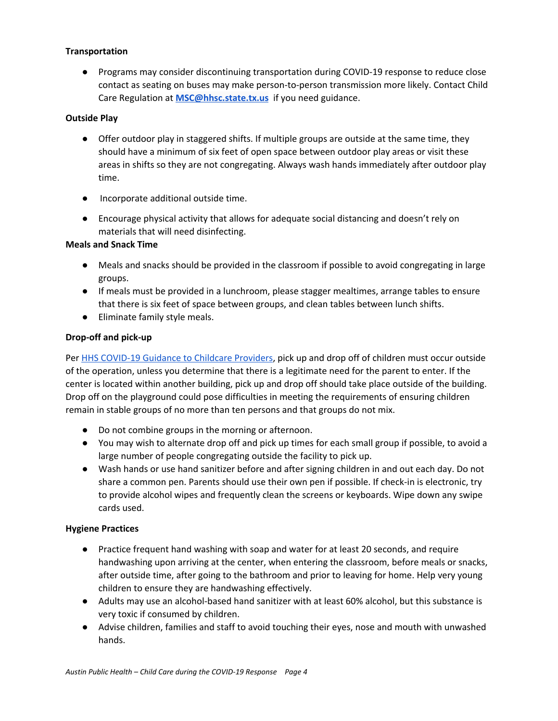### **Transportation**

● Programs may consider discontinuing transportation during COVID-19 response to reduce close contact as seating on buses may make person-to-person transmission more likely. Contact Child Care Regulation at **[MSC@hhsc.state.tx.us](mailto:MSC@hhsc.state.tx.us)** if you need guidance.

### **Outside Play**

- Offer outdoor play in staggered shifts. If multiple groups are outside at the same time, they should have a minimum of six feet of open space between outdoor play areas or visit these areas in shifts so they are not congregating. Always wash hands immediately after outdoor play time.
- Incorporate additional outside time.
- Encourage physical activity that allows for adequate social distancing and doesn't rely on materials that will need disinfecting.

### **Meals and Snack Time**

- Meals and snacks should be provided in the classroom if possible to avoid congregating in large groups.
- If meals must be provided in a lunchroom, please stagger mealtimes, arrange tables to ensure that there is six feet of space between groups, and clean tables between lunch shifts.
- Eliminate family style meals.

## **Drop-off and pick-up**

Per HHS [COVID-19](https://hhs.texas.gov/about-hhs/communications-events/news/2020/03/covid-19-guidance-child-care-providers) Guidance to Childcare Providers, pick up and drop off of children must occur outside of the operation, unless you determine that there is a legitimate need for the parent to enter. If the center is located within another building, pick up and drop off should take place outside of the building. Drop off on the playground could pose difficulties in meeting the requirements of ensuring children remain in stable groups of no more than ten persons and that groups do not mix.

- Do not combine groups in the morning or afternoon.
- You may wish to alternate drop off and pick up times for each small group if possible, to avoid a large number of people congregating outside the facility to pick up.
- Wash hands or use hand sanitizer before and after signing children in and out each day. Do not share a common pen. Parents should use their own pen if possible. If check-in is electronic, try to provide alcohol wipes and frequently clean the screens or keyboards. Wipe down any swipe cards used.

### **Hygiene Practices**

- Practice frequent hand washing with soap and water for at least 20 seconds, and require handwashing upon arriving at the center, when entering the classroom, before meals or snacks, after outside time, after going to the bathroom and prior to leaving for home. Help very young children to ensure they are handwashing effectively.
- Adults may use an alcohol-based hand sanitizer with at least 60% alcohol, but this substance is very toxic if consumed by children.
- Advise children, families and staff to avoid touching their eyes, nose and mouth with unwashed hands.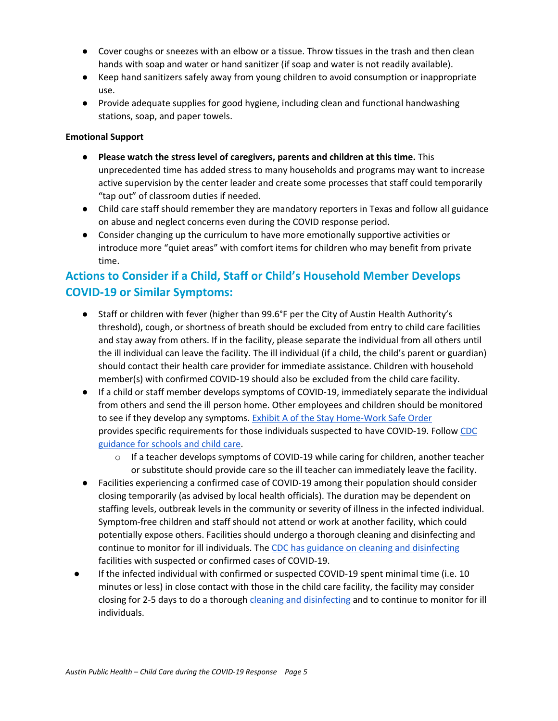- Cover coughs or sneezes with an elbow or a tissue. Throw tissues in the trash and then clean hands with soap and water or hand sanitizer (if soap and water is not readily available).
- Keep hand sanitizers safely away from young children to avoid consumption or inappropriate use.
- **●** Provide adequate supplies for good hygiene, including clean and functional handwashing stations, soap, and paper towels.

## **Emotional Support**

- **● Please watch the stress level of caregivers, parents and children at this time.** This unprecedented time has added stress to many households and programs may want to increase active supervision by the center leader and create some processes that staff could temporarily "tap out" of classroom duties if needed.
- **●** Child care staff should remember they are mandatory reporters in Texas and follow all guidance on abuse and neglect concerns even during the COVID response period.
- **●** Consider changing up the curriculum to have more emotionally supportive activities or introduce more "quiet areas" with comfort items for children who may benefit from private time.

# **Actions to Consider if a Child, Staff or Child's Household Member Develops COVID-19 or Similar Symptoms:**

- Staff or children with fever (higher than 99.6°F per the City of Austin Health Authority's threshold), cough, or shortness of breath should be excluded from entry to child care facilities and stay away from others. If in the facility, please separate the individual from all others until the ill individual can leave the facility. The ill individual (if a child, the child's parent or guardian) should contact their health care provider for immediate assistance. Children with household member(s) with confirmed COVID-19 should also be excluded from the child care facility.
- If a child or staff member develops symptoms of COVID-19, immediately separate the individual from others and send the ill person home. Other employees and children should be monitored to see if they develop any symptoms. Exhibit A of the Stay [Home-Work](http://www.austintexas.gov/sites/default/files/files/Order%2020200324-007%20-%20Stay%20Home%20-%20Work%20Safe.pdf) Safe Order provides specific requirements for those individuals suspected to have COVID-19. Follow [CDC](https://www.cdc.gov/coronavirus/2019-ncov/community/schools-childcare/index.html) [guidance](https://www.cdc.gov/coronavirus/2019-ncov/community/schools-childcare/index.html) for schools and child care.
	- $\circ$  If a teacher develops symptoms of COVID-19 while caring for children, another teacher or substitute should provide care so the ill teacher can immediately leave the facility.
- Facilities experiencing a confirmed case of COVID-19 among their population should consider closing temporarily (as advised by local health officials). The duration may be dependent on staffing levels, outbreak levels in the community or severity of illness in the infected individual. Symptom-free children and staff should not attend or work at another facility, which could potentially expose others. Facilities should undergo a thorough cleaning and disinfecting and continue to monitor for ill individuals. The CDC has guidance on cleaning and [disinfecting](https://www.cdc.gov/coronavirus/2019-ncov/community/organizations/cleaning-disinfection.html) facilities with suspected or confirmed cases of COVID-19.
- If the infected individual with confirmed or suspected COVID-19 spent minimal time (i.e. 10 minutes or less) in close contact with those in the child care facility, the facility may consider closing for 2-5 days to do a thorough cleaning and [disinfecting](https://www.cdc.gov/coronavirus/2019-ncov/community/organizations/cleaning-disinfection.html) and to continue to monitor for ill individuals.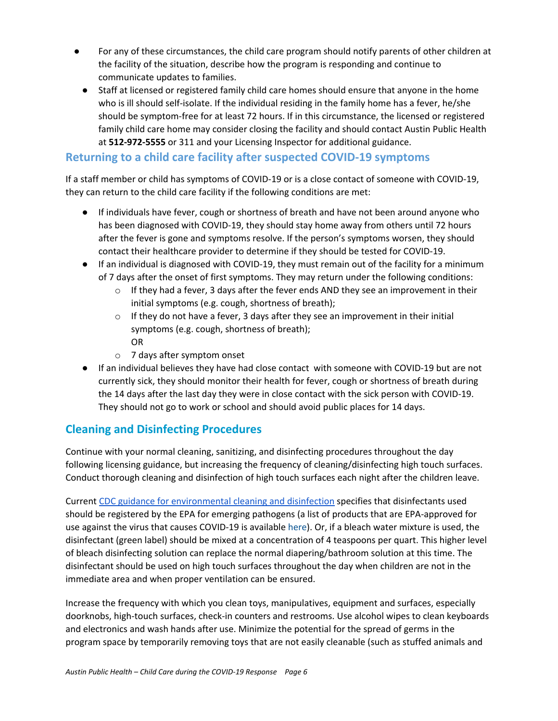- For any of these circumstances, the child care program should notify parents of other children at the facility of the situation, describe how the program is responding and continue to communicate updates to families.
	- Staff at licensed or registered family child care homes should ensure that anyone in the home who is ill should self-isolate. If the individual residing in the family home has a fever, he/she should be symptom-free for at least 72 hours. If in this circumstance, the licensed or registered family child care home may consider closing the facility and should contact Austin Public Health at **512-972-5555** or 311 and your Licensing Inspector for additional guidance.

# **Returning to a child care facility after suspected COVID-19 symptoms**

If a staff member or child has symptoms of COVID-19 or is a close contact of someone with COVID-19, they can return to the child care facility if the following conditions are met:

- If individuals have fever, cough or shortness of breath and have not been around anyone who has been diagnosed with COVID-19, they should stay home away from others until 72 hours after the fever is gone and symptoms resolve. If the person's symptoms worsen, they should contact their healthcare provider to determine if they should be tested for COVID-19.
- If an individual is diagnosed with COVID-19, they must remain out of the facility for a minimum of 7 days after the onset of first symptoms. They may return under the following conditions:
	- $\circ$  If they had a fever, 3 days after the fever ends AND they see an improvement in their initial symptoms (e.g. cough, shortness of breath);
	- $\circ$  If they do not have a fever, 3 days after they see an improvement in their initial symptoms (e.g. cough, shortness of breath); OR
	- o 7 days after symptom onset
- If an individual believes they have had close contact with someone with COVID-19 but are not currently sick, they should monitor their health for fever, cough or shortness of breath during the 14 days after the last day they were in close contact with the sick person with COVID-19. They should not go to work or school and should avoid public places for 14 days.

# **Cleaning and Disinfecting Procedures**

Continue with your normal cleaning, sanitizing, and disinfecting procedures throughout the day following licensing guidance, but increasing the frequency of cleaning/disinfecting high touch surfaces. Conduct thorough cleaning and disinfection of high touch surfaces each night after the children leave.

Current CDC guidance for [environmental](https://www.cdc.gov/coronavirus/2019-ncov/community/organizations/cleaning-disinfection.html) cleaning and disinfection specifies that disinfectants used should be registered by the EPA for emerging pathogens (a list of products that are EPA-approved for use against the virus that causes COVID-19 is available [here\)](https://www.epa.gov/sites/production/files/2020-03/documents/sars-cov-2-list_03-03-2020.pdf). Or, if a bleach water mixture is used, the disinfectant (green label) should be mixed at a concentration of 4 teaspoons per quart. This higher level of bleach disinfecting solution can replace the normal diapering/bathroom solution at this time. The disinfectant should be used on high touch surfaces throughout the day when children are not in the immediate area and when proper ventilation can be ensured.

Increase the frequency with which you clean toys, manipulatives, equipment and surfaces, especially doorknobs, high-touch surfaces, check-in counters and restrooms. Use alcohol wipes to clean keyboards and electronics and wash hands after use. Minimize the potential for the spread of germs in the program space by temporarily removing toys that are not easily cleanable (such as stuffed animals and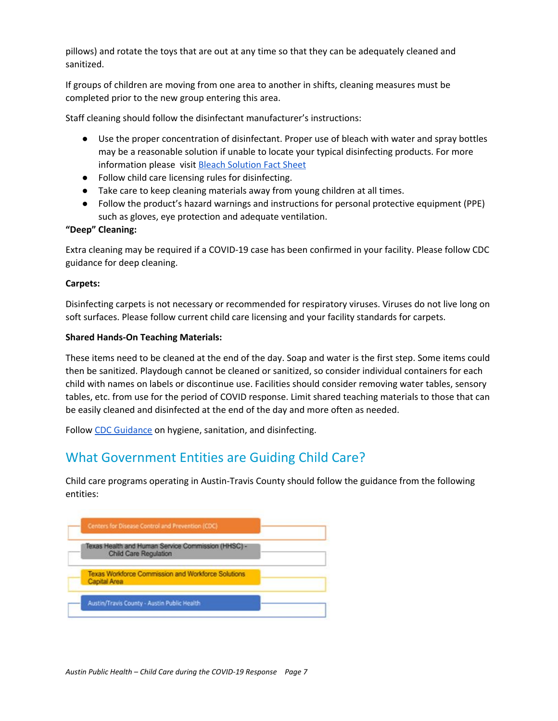pillows) and rotate the toys that are out at any time so that they can be adequately cleaned and sanitized.

If groups of children are moving from one area to another in shifts, cleaning measures must be completed prior to the new group entering this area.

Staff cleaning should follow the disinfectant manufacturer's instructions:

- Use the proper concentration of disinfectant. Proper use of bleach with water and spray bottles may be a reasonable solution if unable to locate your typical disinfecting products. For more information please visit Bleach [Solution](https://ncchildcare.ncdhhs.gov/Portals/0/documents/pdf/B/bleach_solution_fact_sheet.pdf) Fact Sheet
- Follow child care licensing rules for disinfecting.
- Take care to keep cleaning materials away from young children at all times.
- Follow the product's hazard warnings and instructions for personal protective equipment (PPE) such as gloves, eye protection and adequate ventilation.

## **"Deep" Cleaning:**

Extra cleaning may be required if a COVID-19 case has been confirmed in your facility. Please follow CDC guidance for deep cleaning.

### **Carpets:**

Disinfecting carpets is not necessary or recommended for respiratory viruses. Viruses do not live long on soft surfaces. Please follow current child care licensing and your facility standards for carpets.

### **Shared Hands-On Teaching Materials:**

These items need to be cleaned at the end of the day. Soap and water is the first step. Some items could then be sanitized. Playdough cannot be cleaned or sanitized, so consider individual containers for each child with names on labels or discontinue use. Facilities should consider removing water tables, sensory tables, etc. from use for the period of COVID response. Limit shared teaching materials to those that can be easily cleaned and disinfected at the end of the day and more often as needed.

Follow CDC [Guidance](https://www.cdc.gov/coronavirus/2019-ncov/community/schools-childcare/guidance-for-schools.html) on hygiene, sanitation, and disinfecting.

# What Government Entities are Guiding Child Care?

Child care programs operating in Austin-Travis County should follow the guidance from the following entities:

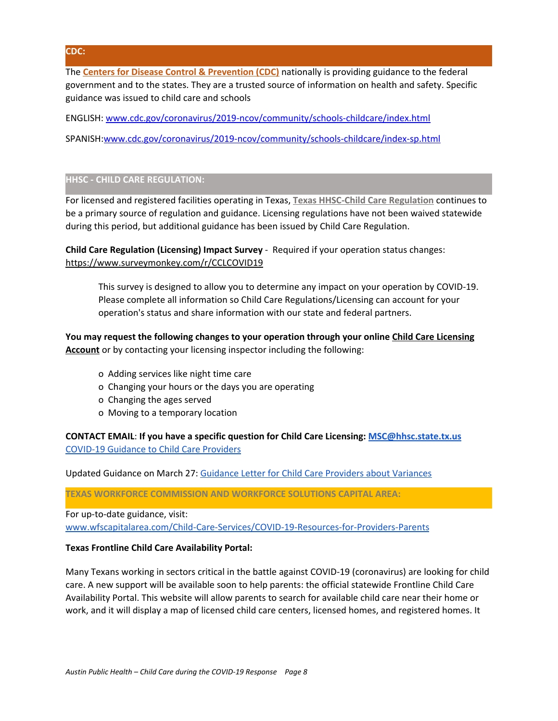**CDC:**

The **Centers for Disease Control & Prevention (CDC)** nationally is providing guidance to the federal government and to the states. They are a trusted source of information on health and safety. Specific guidance was issued to child care and schools

ENGLISH: [www.cdc.gov/coronavirus/2019-ncov/community/schools-childcare/index.html](https://www.cdc.gov/coronavirus/2019-ncov/community/schools-childcare/index.html)

SPANISH:[www.cdc.gov/coronavirus/2019-ncov/community/schools-childcare/index-sp.html](https://www.cdc.gov/coronavirus/2019-ncov/community/schools-childcare/index-sp.html)

## **HHSC - CHILD CARE REGULATION:**

For licensed and registered facilities operating in Texas, **Texas HHSC-Child Care Regulation** continues to be a primary source of regulation and guidance. Licensing regulations have not been waived statewide during this period, but additional guidance has been issued by Child Care Regulation.

**Child Care Regulation (Licensing) Impact Survey** - Required if your operation status changes: <https://www.surveymonkey.com/r/CCLCOVID19>

This survey is designed to allow you to determine any impact on your operation by COVID-19. Please complete all information so Child Care Regulations/Licensing can account for your operation's status and share information with our state and federal partners.

**You may request the following changes to your operation through your onlin[e](https://www.dfps.state.tx.us/Child_Care/Search_Texas_Child_Care/ppFacilityLogin.asp) Child Care [Licensing](https://www.dfps.state.tx.us/Child_Care/Search_Texas_Child_Care/ppFacilityLogin.asp) [Account](https://www.dfps.state.tx.us/Child_Care/Search_Texas_Child_Care/ppFacilityLogin.asp)** or by contacting your licensing inspector including the following:

- o Adding services like night time care
- o Changing your hours or the days you are operating
- o Changing the ages served
- o Moving to a temporary location

**CONTACT EMAIL**: **If you have a specific question for Child Care Licensing: [MSC@hhsc.state.tx.us](mailto:MSC@hhsc.state.tx.us)** [COVID-19](https://hhs.texas.gov/about-hhs/communications-events/news/2020/03/covid-19-guidance-child-care-providers) Guidance to Child Care Providers

Updated Guidance on March 27: Guidance Letter for Child Care Providers about [Variances](https://hhs.texas.gov/about-hhs/communications-events/news/2020/03/guidance-letter-daycare-child-care-providers-about-variances)

**TEXAS WORKFORCE COMMISSION AND WORKFORCE SOLUTIONS CAPITAL AREA:**

For up-to-date guidance, visit:

[www.wfscapitalarea.com/Child-Care-Services/COVID-19-Resources-for-Providers-Parents](http://www.wfscapitalarea.com/Child-Care-Services/COVID-19-Resources-for-Providers-Parents)

### **Texas Frontline Child Care Availability Portal:**

Many Texans working in sectors critical in the battle against COVID-19 (coronavirus) are looking for child care. A new support will be available soon to help parents: the official statewide Frontline Child Care Availability Portal. This website will allow parents to search for available child care near their home or work, and it will display a map of licensed child care centers, licensed homes, and registered homes. It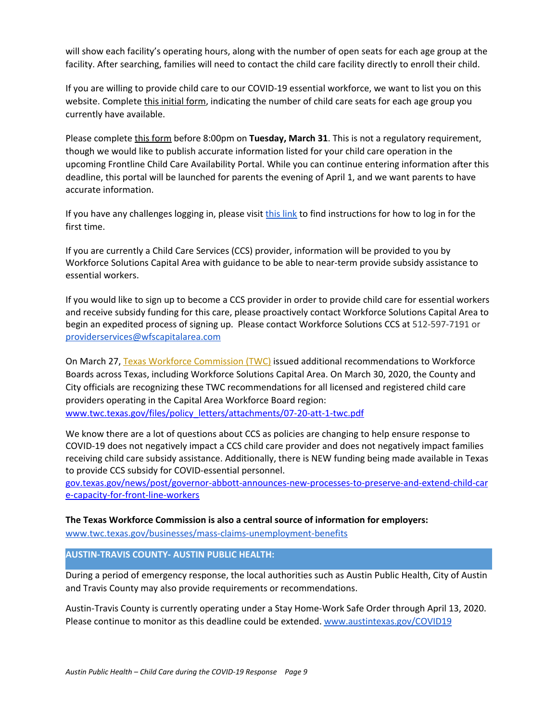will show each facility's operating hours, along with the number of open seats for each age group at the facility. After searching, families will need to contact the child care facility directly to enroll their child.

If you are willing to provide child care to our COVID-19 essential workforce, we want to list you on this website. Complete this [initial](https://gcc01.safelinks.protection.outlook.com/?url=https%3A%2F%2Furldefense.proofpoint.com%2Fv2%2Furl%3Fu%3Dhttps-3A__twc.texas.gov_news_covid-2D19-2Dresources-2Dchild-2Dcare_providerform%26d%3DDwMFAg%26c%3DRMnmm6VPZn6InKz70COhA6ljkuRx8qD28wOQIYh-aEY%26r%3DOfgG9eRfisuOFS7dSCHNulAA1bgCXubOc2a6vtAsMw3HFDVhMbK-KFwwSaD9YCfl%26m%3DEoKVvzurKeZIN9gmSp_4PDNbx7MTavA7hFTvEUPtOC4%26s%3DR--uh_T9O2l9YC_J2TMaQl3j8wtJx3vZpLeqVkArDDI%26e%3D&data=02%7C01%7Cshay.everitt%40twc.state.tx.us%7Cffbb3125db084ab2aa7908d7d4e7b623%7Cfe7d3f4f241b4af184aa32c57fe9db03%7C0%7C0%7C637211963978092928&sdata=T1phPehk9t7JInq90uFDc6%2BGjAhOLX1GDbvQIJKG%2BI4%3D&reserved=0) form, indicating the number of child care seats for each age group you currently have available.

Please complete [t](https://gcc01.safelinks.protection.outlook.com/?url=https%3A%2F%2Furldefense.proofpoint.com%2Fv2%2Furl%3Fu%3Dhttps-3A__twc.texas.gov_news_covid-2D19-2Dresources-2Dchild-2Dcare_providerform%26d%3DDwMFAg%26c%3DRMnmm6VPZn6InKz70COhA6ljkuRx8qD28wOQIYh-aEY%26r%3DOfgG9eRfisuOFS7dSCHNulAA1bgCXubOc2a6vtAsMw3HFDVhMbK-KFwwSaD9YCfl%26m%3DEoKVvzurKeZIN9gmSp_4PDNbx7MTavA7hFTvEUPtOC4%26s%3DR--uh_T9O2l9YC_J2TMaQl3j8wtJx3vZpLeqVkArDDI%26e%3D&data=02%7C01%7Cshay.everitt%40twc.state.tx.us%7Cffbb3125db084ab2aa7908d7d4e7b623%7Cfe7d3f4f241b4af184aa32c57fe9db03%7C0%7C0%7C637211963978102885&sdata=%2BJQR1wldIeVnxFyuzOxi6LBblMCyZfpS89PVcE7TysU%3D&reserved=0)his [form](https://gcc01.safelinks.protection.outlook.com/?url=https%3A%2F%2Furldefense.proofpoint.com%2Fv2%2Furl%3Fu%3Dhttps-3A__twc.texas.gov_news_covid-2D19-2Dresources-2Dchild-2Dcare_providerform%26d%3DDwMFAg%26c%3DRMnmm6VPZn6InKz70COhA6ljkuRx8qD28wOQIYh-aEY%26r%3DOfgG9eRfisuOFS7dSCHNulAA1bgCXubOc2a6vtAsMw3HFDVhMbK-KFwwSaD9YCfl%26m%3DEoKVvzurKeZIN9gmSp_4PDNbx7MTavA7hFTvEUPtOC4%26s%3DR--uh_T9O2l9YC_J2TMaQl3j8wtJx3vZpLeqVkArDDI%26e%3D&data=02%7C01%7Cshay.everitt%40twc.state.tx.us%7Cffbb3125db084ab2aa7908d7d4e7b623%7Cfe7d3f4f241b4af184aa32c57fe9db03%7C0%7C0%7C637211963978102885&sdata=%2BJQR1wldIeVnxFyuzOxi6LBblMCyZfpS89PVcE7TysU%3D&reserved=0) before 8:00pm on **Tuesday, March 31**. This is not a regulatory requirement, though we would like to publish accurate information listed for your child care operation in the upcoming Frontline Child Care Availability Portal. While you can continue entering information after this deadline, this portal will be launched for parents the evening of April 1, and we want parents to have accurate information.

If you have any challenges logging in, please visit this [link](https://gcc01.safelinks.protection.outlook.com/?url=https%3A%2F%2Furldefense.proofpoint.com%2Fv2%2Furl%3Fu%3Dhttps-3A__gcc01.safelinks.protection.outlook.com_-3Furl-3Dhttps-253A-252F-252Fchildcare.bowtiebi.com-252Fcustom-5Ffiles-252FState-5Fof-5FTexas-5FProvider-5FPortal-5FAccess-5Fppt.pdf-26data-3D02-257C01-257Creagan.miller2-2540twc.state.tx.us-257C5b03a01ae880482d486708d7d4c2ce72-257Cfe7d3f4f241b4af184aa32c57fe9db03-257C0-257C0-257C637211805455453878-26sdata-3DhGvIUr4HQZLbWIHoxq0TUp0dfpZlVWszsbsYQV-252FF01o-253D-26reserved-3D0%26d%3DDwMFAg%26c%3DRMnmm6VPZn6InKz70COhA6ljkuRx8qD28wOQIYh-aEY%26r%3DOfgG9eRfisuOFS7dSCHNulAA1bgCXubOc2a6vtAsMw3HFDVhMbK-KFwwSaD9YCfl%26m%3DEoKVvzurKeZIN9gmSp_4PDNbx7MTavA7hFTvEUPtOC4%26s%3DYzVKiRd1ga9mngYWJE4febbDtY_BbFuubzxczeaRM10%26e%3D&data=02%7C01%7Cshay.everitt%40twc.state.tx.us%7Cffbb3125db084ab2aa7908d7d4e7b623%7Cfe7d3f4f241b4af184aa32c57fe9db03%7C0%7C0%7C637211963978102885&sdata=orngVvYUiW1LX%2Fc8eNWKnEyOUweQsqX7MCFs3ozByrg%3D&reserved=0) to find instructions for how to log in for the first time.

If you are currently a Child Care Services (CCS) provider, information will be provided to you by Workforce Solutions Capital Area with guidance to be able to near-term provide subsidy assistance to essential workers.

If you would like to sign up to become a CCS provider in order to provide child care for essential workers and receive subsidy funding for this care, please proactively contact Workforce Solutions Capital Area to begin an expedited process of signing up. Please contact Workforce Solutions CCS at 512-597-7191 or [providerservices@wfscapitalarea.com](mailto:providerservices@wfscapitalarea.com)

On March 27, Texas Workforce Commission (TWC) issued additional recommendations to Workforce Boards across Texas, including Workforce Solutions Capital Area. On March 30, 2020, the County and City officials are recognizing these TWC recommendations for all licensed and registered child care providers operating in the Capital Area Workforce Board region: [www.twc.texas.gov/files/policy\\_letters/attachments/07-20-att-1-twc.pdf](https://www.twc.texas.gov/files/policy_letters/attachments/07-20-att-1-twc.pdf)

We know there are a lot of questions about CCS as policies are changing to help ensure response to COVID-19 does not negatively impact a CCS child care provider and does not negatively impact families receiving child care subsidy assistance. Additionally, there is NEW funding being made available in Texas to provide CCS subsidy for COVID-essential personnel.

[gov.texas.gov/news/post/governor-abbott-announces-new-processes-to-preserve-and-extend-child-car](https://gov.texas.gov/news/post/governor-abbott-announces-new-processes-to-preserve-and-extend-child-care-capacity-for-front-line-workers) [e-capacity-for-front-line-workers](https://gov.texas.gov/news/post/governor-abbott-announces-new-processes-to-preserve-and-extend-child-care-capacity-for-front-line-workers)

### **The Texas Workforce Commission is also a central source of information for employers:**

[www.twc.texas.gov/businesses/mass-claims-unemployment-benefits](https://www.twc.texas.gov/businesses/mass-claims-unemployment-benefits)

## **AUSTIN-TRAVIS COUNTY- AUSTIN PUBLIC HEALTH:**

During a period of emergency response, the local authorities such as Austin Public Health, City of Austin and Travis County may also provide requirements or recommendations.

Austin-Travis County is currently operating under a Stay Home-Work Safe Order through April 13, 2020. Please continue to monitor as this deadline could be extended. [www.austintexas.gov/COVID19](http://www.austintexas.gov/COVID19)